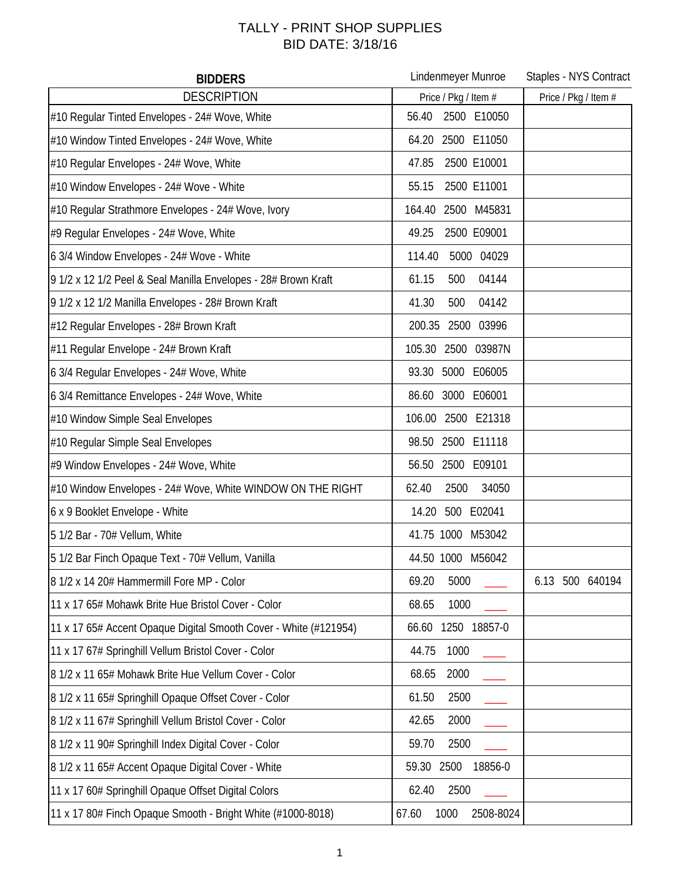## TALLY - PRINT SHOP SUPPLIES BID DATE: 3/18/16

| <b>BIDDERS</b>                                                   | Lindenmeyer Munroe         | Staples - NYS Contract |
|------------------------------------------------------------------|----------------------------|------------------------|
| <b>DESCRIPTION</b>                                               | Price / Pkg / Item #       | Price / Pkg / Item #   |
| #10 Regular Tinted Envelopes - 24# Wove, White                   | 2500 E10050<br>56.40       |                        |
| #10 Window Tinted Envelopes - 24# Wove, White                    | 64.20 2500 E11050          |                        |
| #10 Regular Envelopes - 24# Wove, White                          | 2500 E10001<br>47.85       |                        |
| #10 Window Envelopes - 24# Wove - White                          | 55.15<br>2500 E11001       |                        |
| #10 Regular Strathmore Envelopes - 24# Wove, Ivory               | 164.40<br>2500 M45831      |                        |
| #9 Regular Envelopes - 24# Wove, White                           | 49.25<br>2500 E09001       |                        |
| 6 3/4 Window Envelopes - 24# Wove - White                        | 114.40<br>5000 04029       |                        |
| 9 1/2 x 12 1/2 Peel & Seal Manilla Envelopes - 28# Brown Kraft   | 61.15<br>500<br>04144      |                        |
| 9 1/2 x 12 1/2 Manilla Envelopes - 28# Brown Kraft               | 41.30<br>500<br>04142      |                        |
| #12 Regular Envelopes - 28# Brown Kraft                          | 200.35 2500 03996          |                        |
| #11 Regular Envelope - 24# Brown Kraft                           | 2500 03987N<br>105.30      |                        |
| 6 3/4 Regular Envelopes - 24# Wove, White                        | 5000 E06005<br>93.30       |                        |
| 6 3/4 Remittance Envelopes - 24# Wove, White                     | 3000 E06001<br>86.60       |                        |
| #10 Window Simple Seal Envelopes                                 | 106.00<br>2500 E21318      |                        |
| #10 Regular Simple Seal Envelopes                                | 98.50 2500 E11118          |                        |
| #9 Window Envelopes - 24# Wove, White                            | 56.50 2500 E09101          |                        |
| #10 Window Envelopes - 24# Wove, White WINDOW ON THE RIGHT       | 62.40<br>2500<br>34050     |                        |
| 6 x 9 Booklet Envelope - White                                   | 500 E02041<br>14.20        |                        |
| 5 1/2 Bar - 70# Vellum, White                                    | 41.75 1000 M53042          |                        |
| 5 1/2 Bar Finch Opaque Text - 70# Vellum, Vanilla                | 44.50 1000 M56042          |                        |
| 8 1/2 x 14 20# Hammermill Fore MP - Color                        | 69.20<br>5000              | 6.13 500 640194        |
| 11 x 17 65# Mohawk Brite Hue Bristol Cover - Color               | 1000<br>68.65              |                        |
| 11 x 17 65# Accent Opaque Digital Smooth Cover - White (#121954) | 1250 18857-0<br>66.60      |                        |
| 11 x 17 67# Springhill Vellum Bristol Cover - Color              | 44.75<br>1000              |                        |
| 8 1/2 x 11 65# Mohawk Brite Hue Vellum Cover - Color             | 68.65<br>2000              |                        |
| 8 1/2 x 11 65# Springhill Opaque Offset Cover - Color            | 61.50<br>2500              |                        |
| 8 1/2 x 11 67# Springhill Vellum Bristol Cover - Color           | 2000<br>42.65              |                        |
| 8 1/2 x 11 90# Springhill Index Digital Cover - Color            | 2500<br>59.70              |                        |
| 8 1/2 x 11 65# Accent Opaque Digital Cover - White               | 2500<br>18856-0<br>59.30   |                        |
| 11 x 17 60# Springhill Opaque Offset Digital Colors              | 2500<br>62.40              |                        |
| 11 x 17 80# Finch Opaque Smooth - Bright White (#1000-8018)      | 67.60<br>1000<br>2508-8024 |                        |